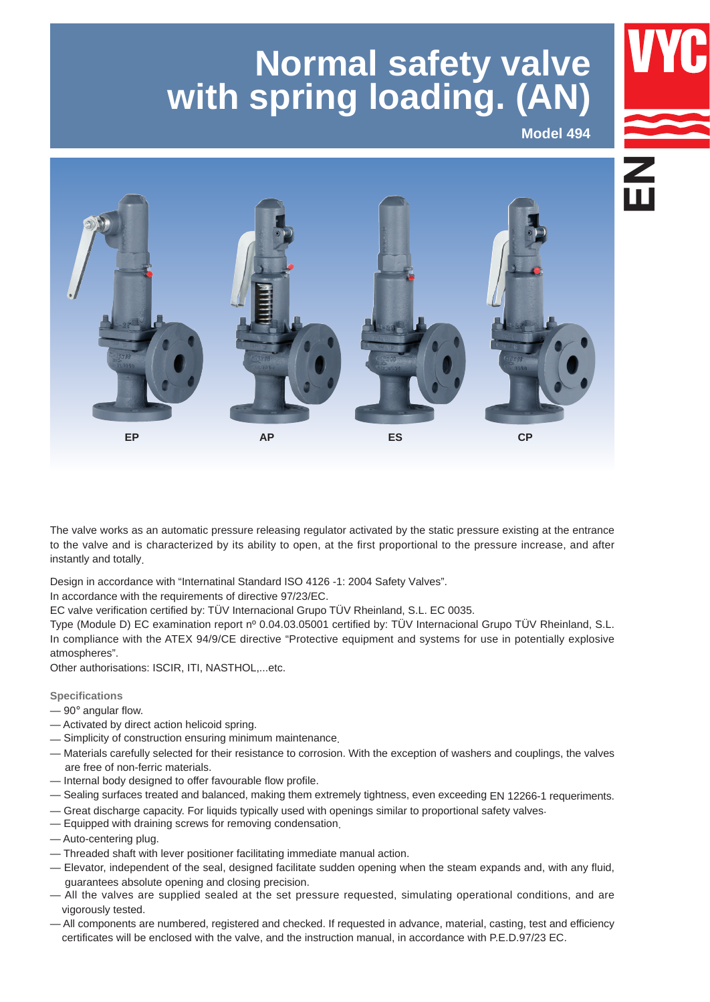# **Normal safety valve with spring loading. (AN)**

**Model 494**



The valve works as an automatic pressure releasing regulator activated by the static pressure existing at the entrance to the valve and is characterized by its ability to open, at the first proportional to the pressure increase, and after instantly and totally.

Design in accordance with "Internatinal Standard ISO 4126 -1: 2004 Safety Valves".

In accordance with the requirements of directive 97/23/EC.

EC valve verification certified by: TÜV Internacional Grupo TÜV Rheinland, S.L. EC 0035. 

Type (Module D) EC examination report nº 0.04.03.05001 certified by: TÜV Internacional Grupo TÜV Rheinland, S.L. In compliance with the ATEX 94/9/CE directive "Protective equipment and systems for use in potentially explosive atmospheres".

Other authorisations: ISCIR, ITI, NASTHOL,...etc.

### **Specifications**

- $-90^\circ$  angular flow.
- Activated by direct action helicoid spring.
- Simplicity of construction ensuring minimum maintenance.
- Materials carefully selected for their resistance to corrosion. With the exception of washers and couplings, the valves are free of non-ferric materials.
- Internal body designed to offer favourable flow profile.
- Sealing surfaces treated and balanced, making them extremely tightness, even exceeding EN 12266-1 requeriments.
- Great discharge capacity. For liquids typically used with openings similar to proportional safety valves.
- Equipped with draining screws for removing condensation.
- Auto-centering plug.
- Threaded shaft with lever positioner facilitating immediate manual action.
- Elevator, independent of the seal, designed facilitate sudden opening when the steam expands and, with any fluid, guarantees absolute opening and closing precision.
- All the valves are supplied sealed at the set pressure requested, simulating operational conditions, and are vigorously tested.
- All components are numbered, registered and checked. If requested in advance, material, casting, test and efficiency certificates will be enclosed with the valve, and the instruction manual, in accordance with P.E.D.97/23 EC.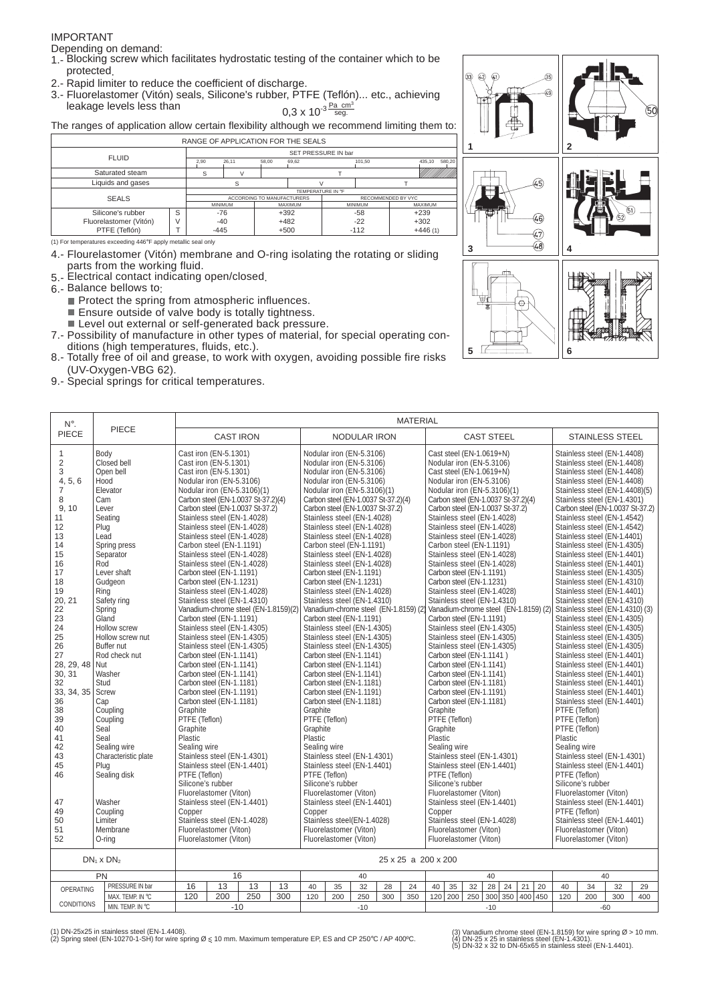#### IMPORTANT

Depending on demand:

- 1.- Blocking screw which facilitates hydrostatic testing of the container which to be protected.
- 2.- Rapid limiter to reduce the coefficient of discharge.
- 3.- Fluorelastomer (Vitón) seals, Silicone's rubber, PTFE (Teflón)... etc., achieving leakage levels less than Pa cm<sup>3</sup><br>seg.

The ranges of application allow certain flexibility although we recommend limiting them to:

|                        |   | RANGE OF APPLICATION FOR THE SEALS |       |                            |                   |                     |                |                    |        |
|------------------------|---|------------------------------------|-------|----------------------------|-------------------|---------------------|----------------|--------------------|--------|
| <b>FLUID</b>           |   |                                    |       |                            |                   | SET PRESSURE IN bar |                |                    |        |
|                        |   | 2.90                               | 26.11 | 58.00                      | 69,62             |                     | 101.50         | 435.10             | 580.20 |
| Saturated steam        |   |                                    |       |                            |                   |                     |                |                    |        |
| Liquids and gases      |   |                                    |       |                            |                   |                     |                |                    |        |
|                        |   |                                    |       |                            | TEMPERATURE IN °F |                     |                |                    |        |
| <b>SEALS</b>           |   |                                    |       | ACCORDING TO MANUFACTURERS |                   |                     |                | RECOMMENDED BY VYC |        |
|                        |   | <b>MINIMUM</b>                     |       |                            | MAXIMUM           |                     | <b>MINIMUM</b> | <b>MAXIMUM</b>     |        |
| Silicone's rubber      | S | -76                                |       | $+392$                     |                   |                     | -58            | $+239$             |        |
| Fluorelastomer (Vitón) |   | $-40$                              |       | $+482$                     |                   |                     | $-22$          | $+302$             |        |
| PTFE (Teflón)          |   | $-445$                             |       | $+500$                     |                   |                     | $-112$         | $+446(1)$          |        |

(1) For temperatures exceeding 446°F apply metallic seal only

- 4.- Flourelastomer (Vitón) membrane and O-ring isolating the rotating or sliding parts from the working fluid.
- 5.- Electrical contact indicating open/closed.
- 6.- Balance bellows to:
	- $\blacksquare$  Protect the spring from atmospheric influences.  $\blacksquare$  Ensure outside of valve body is totally tightness.
	- Level out external or self-generated back pressure.
- 7.- Possibility of manufacture in other types of material, for special operating conditions (high temperatures, fluids, etc.).
- 8.- Totally free of oil and grease, to work with oxygen, avoiding possible fire risks (UV-Oxygen-VBG 62).
- 9.- Special springs for critical temperatures.

| $N^{\circ}$ .                                                                                                                                                                                                                                                                           |                                                                                                                                                                                                                                                                                                                                                                                                                                                              |                                                                                                                                                                                                                                                                                                                                                                                                                                                                                                                                                                                                                                                                                                                                                                                                                                                                                                                                                                                                                            |                  |                                                                                                                 |     |                                           |                                                                                                                                                                                                                                                                                                                                                                                                                                                                                                                                                                                                                                                                                                                                                                                                                                                                                                                                                                                                                           |                     | <b>MATERIAL</b>                                                             |     |                                                                                                                                                                                                                                                                                                                                                                                                                                                                                                                                                    |     |                                                                                                                                                                                                                                                                                                                                                                                                                                                                                                                                                                                                   |             |         |                                                                                                                                                                                                                                                                                                                                                                                                                                                                                                                                                                                                                                                                                                                                                                                                                                                                                                                                                                                                                                                                                                                                                                                              |       |     |
|-----------------------------------------------------------------------------------------------------------------------------------------------------------------------------------------------------------------------------------------------------------------------------------------|--------------------------------------------------------------------------------------------------------------------------------------------------------------------------------------------------------------------------------------------------------------------------------------------------------------------------------------------------------------------------------------------------------------------------------------------------------------|----------------------------------------------------------------------------------------------------------------------------------------------------------------------------------------------------------------------------------------------------------------------------------------------------------------------------------------------------------------------------------------------------------------------------------------------------------------------------------------------------------------------------------------------------------------------------------------------------------------------------------------------------------------------------------------------------------------------------------------------------------------------------------------------------------------------------------------------------------------------------------------------------------------------------------------------------------------------------------------------------------------------------|------------------|-----------------------------------------------------------------------------------------------------------------|-----|-------------------------------------------|---------------------------------------------------------------------------------------------------------------------------------------------------------------------------------------------------------------------------------------------------------------------------------------------------------------------------------------------------------------------------------------------------------------------------------------------------------------------------------------------------------------------------------------------------------------------------------------------------------------------------------------------------------------------------------------------------------------------------------------------------------------------------------------------------------------------------------------------------------------------------------------------------------------------------------------------------------------------------------------------------------------------------|---------------------|-----------------------------------------------------------------------------|-----|----------------------------------------------------------------------------------------------------------------------------------------------------------------------------------------------------------------------------------------------------------------------------------------------------------------------------------------------------------------------------------------------------------------------------------------------------------------------------------------------------------------------------------------------------|-----|---------------------------------------------------------------------------------------------------------------------------------------------------------------------------------------------------------------------------------------------------------------------------------------------------------------------------------------------------------------------------------------------------------------------------------------------------------------------------------------------------------------------------------------------------------------------------------------------------|-------------|---------|----------------------------------------------------------------------------------------------------------------------------------------------------------------------------------------------------------------------------------------------------------------------------------------------------------------------------------------------------------------------------------------------------------------------------------------------------------------------------------------------------------------------------------------------------------------------------------------------------------------------------------------------------------------------------------------------------------------------------------------------------------------------------------------------------------------------------------------------------------------------------------------------------------------------------------------------------------------------------------------------------------------------------------------------------------------------------------------------------------------------------------------------------------------------------------------------|-------|-----|
| PIECE                                                                                                                                                                                                                                                                                   | PIECE                                                                                                                                                                                                                                                                                                                                                                                                                                                        |                                                                                                                                                                                                                                                                                                                                                                                                                                                                                                                                                                                                                                                                                                                                                                                                                                                                                                                                                                                                                            | <b>CAST IRON</b> |                                                                                                                 |     |                                           |                                                                                                                                                                                                                                                                                                                                                                                                                                                                                                                                                                                                                                                                                                                                                                                                                                                                                                                                                                                                                           | <b>NODULAR IRON</b> |                                                                             |     |                                                                                                                                                                                                                                                                                                                                                                                                                                                                                                                                                    |     | <b>CAST STEEL</b>                                                                                                                                                                                                                                                                                                                                                                                                                                                                                                                                                                                 |             |         | <b>STAINLESS STEEL</b>                                                                                                                                                                                                                                                                                                                                                                                                                                                                                                                                                                                                                                                                                                                                                                                                                                                                                                                                                                                                                                                                                                                                                                       |       |     |
| $\mathbf{1}$<br>$\overline{2}$<br>3<br>4, 5, 6<br>7<br>8<br>9.10<br>11<br>12<br>13<br>14<br>15<br>16<br>17<br>18<br>19<br>20, 21<br>22<br>23<br>24<br>25<br>26<br>27<br>28, 29, 48<br>30.31<br>32<br>33, 34, 35<br>36<br>38<br>39<br>40<br>41<br>42<br>43<br>45<br>46<br>47<br>49<br>50 | Body<br>Closed bell<br>Open bell<br>Hood<br>Elevator<br>Cam<br>Lever<br>Seating<br>Plug<br>Lead<br>Spring press<br>Separator<br>Rod<br>Lever shaft<br>Gudgeon<br>Ring<br>Safety ring<br>Spring<br>Gland<br>Hollow screw<br>Hollow screw nut<br>Buffer nut<br>Rod check nut<br>Nut<br>Washer<br>Stud<br>Screw<br>Cap<br>Coupling<br>Coupling<br>Seal<br>Seal<br>Sealing wire<br>Characteristic plate<br>Plug<br>Sealing disk<br>Washer<br>Coupling<br>Limiter | Cast iron (EN-5.1301)<br>Cast iron (EN-5.1301)<br>Cast iron (EN-5.1301)<br>Nodular iron (EN-5.3106)<br>Nodular iron (EN-5.3106)(1)<br>Stainless steel (EN-1.4028)<br>Stainless steel (EN-1.4028)<br>Stainless steel (EN-1.4028)<br>Carbon steel (EN-1.1191)<br>Stainless steel (EN-1.4028)<br>Stainless steel (EN-1.4028)<br>Carbon steel (EN-1.1191)<br>Carbon steel (EN-1.1231)<br>Stainless steel (EN-1.4028)<br>Stainless steel (EN-1.4310)<br>Carbon steel (EN-1.1191)<br>Stainless steel (EN-1.4305)<br>Stainless steel (EN-1.4305)<br>Stainless steel (EN-1.4305)<br>Carbon steel (EN-1.1141)<br>Carbon steel (EN-1.1141)<br>Carbon steel (EN-1.1141)<br>Carbon steel (EN-1.1181)<br>Carbon steel (EN-1.1191)<br>Carbon steel (EN-1.1181)<br>Graphite<br>PTFE (Teflon)<br>Graphite<br>Plastic<br>Sealing wire<br>Stainless steel (EN-1.4301)<br>Stainless steel (EN-1.4401)<br>PTFE (Teflon)<br>Silicone's rubber<br>Fluorelastomer (Viton)<br>Stainless steel (EN-1.4401)<br>Copper<br>Stainless steel (EN-1.4028) |                  | Carbon steel (EN-1.0037 St-37.2)(4)<br>Carbon steel (EN-1.0037 St-37.2)<br>Vanadium-chrome steel (EN-1.8159)(2) |     | Graphite<br>Graphite<br>Plastic<br>Copper | Nodular iron (EN-5.3106)<br>Nodular iron (EN-5.3106)<br>Nodular iron (EN-5.3106)<br>Nodular iron (EN-5.3106)<br>Nodular iron (EN-5.3106)(1)<br>Carbon steel (EN-1.0037 St-37.2)<br>Stainless steel (EN-1.4028)<br>Stainless steel (EN-1.4028)<br>Stainless steel (EN-1.4028)<br>Carbon steel (EN-1.1191)<br>Stainless steel (EN-1.4028)<br>Stainless steel (EN-1.4028)<br>Carbon steel (EN-1.1191)<br>Carbon steel (EN-1.1231)<br>Stainless steel (EN-1.4028)<br>Stainless steel (EN-1.4310)<br>Carbon steel (EN-1.1191)<br>Stainless steel (EN-1.4305)<br>Stainless steel (EN-1.4305)<br>Stainless steel (EN-1.4305)<br>Carbon steel (EN-1.1141)<br>Carbon steel (EN-1.1141)<br>Carbon steel (EN-1.1141)<br>Carbon steel (EN-1.1181)<br>Carbon steel (EN-1.1191)<br>Carbon steel (EN-1.1181)<br>PTFE (Teflon)<br>Sealing wire<br>Stainless steel (EN-1.4301)<br>Stainless steel (EN-1.4401)<br>PTFE (Teflon)<br>Silicone's rubber<br>Fluorelastomer (Viton)<br>Stainless steel (EN-1.4401)<br>Stainless steel(EN-1.4028) |                     | Carbon steel (EN-1.0037 St-37.2)(4)<br>Vanadium-chrome steel (EN-1.8159) (2 |     | Cast steel (EN-1.0619+N)<br>Nodular iron (EN-5.3106)<br>Cast steel (EN-1.0619+N)<br>Nodular iron (EN-5.3106)<br>Carbon steel (EN-1.1191)<br>Carbon steel (EN-1.1191)<br>Carbon steel (EN-1.1231)<br>Carbon steel (EN-1.1191)<br>Carbon steel (EN-1.1141)<br>Carbon steel (EN-1.1141)<br>Carbon steel (EN-1.1141)<br>Carbon steel (EN-1.1181)<br>Carbon steel (EN-1.1191)<br>Carbon steel (EN-1.1181)<br>Graphite<br>PTFE (Teflon)<br>Graphite<br>Plastic<br>Sealing wire<br>PTFE (Teflon)<br>Silicone's rubber<br>Fluorelastomer (Viton)<br>Copper |     | Nodular iron (EN-5.3106)(1)<br>Carbon steel (EN-1.0037 St-37.2)(4)<br>Carbon steel (EN-1.0037 St-37.2)<br>Stainless steel (EN-1.4028)<br>Stainless steel (EN-1.4028)<br>Stainless steel (EN-1.4028)<br>Stainless steel (EN-1.4028)<br>Stainless steel (EN-1.4028)<br>Stainless steel (EN-1.4028)<br>Stainless steel (EN-1.4310)<br>Vanadium-chrome steel (EN-1.8159) (2)<br>Stainless steel (EN-1.4305)<br>Stainless steel (EN-1.4305)<br>Stainless steel (EN-1.4305)<br>Stainless steel (EN-1.4301)<br>Stainless steel (EN-1.4401)<br>Stainless steel (EN-1.4401)<br>Stainless steel (EN-1.4028) |             | Plastic | Stainless steel (EN-1.4408)<br>Stainless steel (EN-1.4408)<br>Stainless steel (EN-1.4408)<br>Stainless steel (EN-1.4408)<br>Stainless steel (EN-1.4408)(5)<br>Stainless steel (EN-1.4301)<br>Carbon steel (EN-1.0037 St-37.2)<br>Stainless steel (EN-1.4542)<br>Stainless steel (EN-1.4542)<br>Stainless steel (EN-1.4401)<br>Stainless steel (EN-1.4305)<br>Stainless steel (EN-1.4401)<br>Stainless steel (EN-1.4401)<br>Stainless steel (EN-1.4305)<br>Stainless steel (EN-1.4310)<br>Stainless steel (EN-1.4401)<br>Stainless steel (EN-1.4310)<br>Stainless steel (EN-1.4310) (3)<br>Stainless steel (EN-1.4305)<br>Stainless steel (EN-1.4305)<br>Stainless steel (EN-1.4305)<br>Stainless steel (EN-1.4305)<br>Stainless steel (EN-1.4401)<br>Stainless steel (EN-1.4401)<br>Stainless steel (EN-1.4401)<br>Stainless steel (EN-1.4401)<br>Stainless steel (EN-1.4401)<br>Stainless steel (EN-1.4401)<br>PTFE (Teflon)<br>PTFE (Teflon)<br>PTFE (Teflon)<br>Sealing wire<br>Stainless steel (EN-1.4301)<br>Stainless steel (EN-1.4401)<br>PTFE (Teflon)<br>Silicone's rubber<br>Fluorelastomer (Viton)<br>Stainless steel (EN-1.4401)<br>PTFE (Teflon)<br>Stainless steel (EN-1.4401) |       |     |
| 51<br>52                                                                                                                                                                                                                                                                                | Membrane<br>O-rina                                                                                                                                                                                                                                                                                                                                                                                                                                           | Fluorelastomer (Viton)<br>Fluorelastomer (Viton)                                                                                                                                                                                                                                                                                                                                                                                                                                                                                                                                                                                                                                                                                                                                                                                                                                                                                                                                                                           |                  |                                                                                                                 |     |                                           | Fluorelastomer (Viton)<br>Fluorelastomer (Viton)                                                                                                                                                                                                                                                                                                                                                                                                                                                                                                                                                                                                                                                                                                                                                                                                                                                                                                                                                                          |                     |                                                                             |     | Fluorelastomer (Viton)<br>Fluorelastomer (Viton)                                                                                                                                                                                                                                                                                                                                                                                                                                                                                                   |     |                                                                                                                                                                                                                                                                                                                                                                                                                                                                                                                                                                                                   |             |         | Fluorelastomer (Viton)<br>Fluorelastomer (Viton)                                                                                                                                                                                                                                                                                                                                                                                                                                                                                                                                                                                                                                                                                                                                                                                                                                                                                                                                                                                                                                                                                                                                             |       |     |
|                                                                                                                                                                                                                                                                                         | $DN_1 \times DN_2$                                                                                                                                                                                                                                                                                                                                                                                                                                           |                                                                                                                                                                                                                                                                                                                                                                                                                                                                                                                                                                                                                                                                                                                                                                                                                                                                                                                                                                                                                            |                  |                                                                                                                 |     |                                           |                                                                                                                                                                                                                                                                                                                                                                                                                                                                                                                                                                                                                                                                                                                                                                                                                                                                                                                                                                                                                           |                     | 25 x 25 a 200 x 200                                                         |     |                                                                                                                                                                                                                                                                                                                                                                                                                                                                                                                                                    |     |                                                                                                                                                                                                                                                                                                                                                                                                                                                                                                                                                                                                   |             |         |                                                                                                                                                                                                                                                                                                                                                                                                                                                                                                                                                                                                                                                                                                                                                                                                                                                                                                                                                                                                                                                                                                                                                                                              |       |     |
|                                                                                                                                                                                                                                                                                         | PN                                                                                                                                                                                                                                                                                                                                                                                                                                                           |                                                                                                                                                                                                                                                                                                                                                                                                                                                                                                                                                                                                                                                                                                                                                                                                                                                                                                                                                                                                                            | 16               |                                                                                                                 |     |                                           |                                                                                                                                                                                                                                                                                                                                                                                                                                                                                                                                                                                                                                                                                                                                                                                                                                                                                                                                                                                                                           | 40                  |                                                                             |     |                                                                                                                                                                                                                                                                                                                                                                                                                                                                                                                                                    |     | 40                                                                                                                                                                                                                                                                                                                                                                                                                                                                                                                                                                                                |             |         |                                                                                                                                                                                                                                                                                                                                                                                                                                                                                                                                                                                                                                                                                                                                                                                                                                                                                                                                                                                                                                                                                                                                                                                              | 40    |     |
| <b>OPERATING</b>                                                                                                                                                                                                                                                                        | PRESSURE IN bar                                                                                                                                                                                                                                                                                                                                                                                                                                              | 16                                                                                                                                                                                                                                                                                                                                                                                                                                                                                                                                                                                                                                                                                                                                                                                                                                                                                                                                                                                                                         | 13               | 13                                                                                                              | 13  | 40                                        | 35                                                                                                                                                                                                                                                                                                                                                                                                                                                                                                                                                                                                                                                                                                                                                                                                                                                                                                                                                                                                                        | 32                  | 28<br>24                                                                    | 40  | 35                                                                                                                                                                                                                                                                                                                                                                                                                                                                                                                                                 | 32  | 28<br>24                                                                                                                                                                                                                                                                                                                                                                                                                                                                                                                                                                                          | 21<br>20    | 40      | 34                                                                                                                                                                                                                                                                                                                                                                                                                                                                                                                                                                                                                                                                                                                                                                                                                                                                                                                                                                                                                                                                                                                                                                                           | 32    | 29  |
| <b>CONDITIONS</b>                                                                                                                                                                                                                                                                       | MAX. TEMP. IN °C                                                                                                                                                                                                                                                                                                                                                                                                                                             | 120                                                                                                                                                                                                                                                                                                                                                                                                                                                                                                                                                                                                                                                                                                                                                                                                                                                                                                                                                                                                                        | 200              | 250                                                                                                             | 300 | 120                                       | 200                                                                                                                                                                                                                                                                                                                                                                                                                                                                                                                                                                                                                                                                                                                                                                                                                                                                                                                                                                                                                       | 250                 | 300<br>350                                                                  | 120 | 200                                                                                                                                                                                                                                                                                                                                                                                                                                                                                                                                                | 250 | 300                                                                                                                                                                                                                                                                                                                                                                                                                                                                                                                                                                                               | 350 400 450 | 120     | 200                                                                                                                                                                                                                                                                                                                                                                                                                                                                                                                                                                                                                                                                                                                                                                                                                                                                                                                                                                                                                                                                                                                                                                                          | 300   | 400 |
|                                                                                                                                                                                                                                                                                         | MIN. TEMP. IN °C                                                                                                                                                                                                                                                                                                                                                                                                                                             |                                                                                                                                                                                                                                                                                                                                                                                                                                                                                                                                                                                                                                                                                                                                                                                                                                                                                                                                                                                                                            | $-10$            |                                                                                                                 |     |                                           |                                                                                                                                                                                                                                                                                                                                                                                                                                                                                                                                                                                                                                                                                                                                                                                                                                                                                                                                                                                                                           | $-10$               |                                                                             |     |                                                                                                                                                                                                                                                                                                                                                                                                                                                                                                                                                    |     | $-10$                                                                                                                                                                                                                                                                                                                                                                                                                                                                                                                                                                                             |             |         |                                                                                                                                                                                                                                                                                                                                                                                                                                                                                                                                                                                                                                                                                                                                                                                                                                                                                                                                                                                                                                                                                                                                                                                              | $-60$ |     |

൹  $\widehat{\omega}$ **1 2**  $\widehat{45}$ 46)  $\widehat{\left<\mathbf{r}\right>}$  $3 \t-48 \t-4$ Ò **5 6**

(1) DN-25x25 in stainless steel (EN-1.4408). (2) Spring steel (EN-10270-1-SH) for wire spring Ø < 10 mm. Maximum temperature EP, ES and CP 250°C / AP 400ºC.

(3) Vanadium chrome steel (EN-1.8159) for wire spring Ø > 10 mm. (4) DN-25 x 25 in stainless steel (EN-1.4301). (5) DN-32 x 32 to DN-65x65 in stainless steel (EN-1.4401).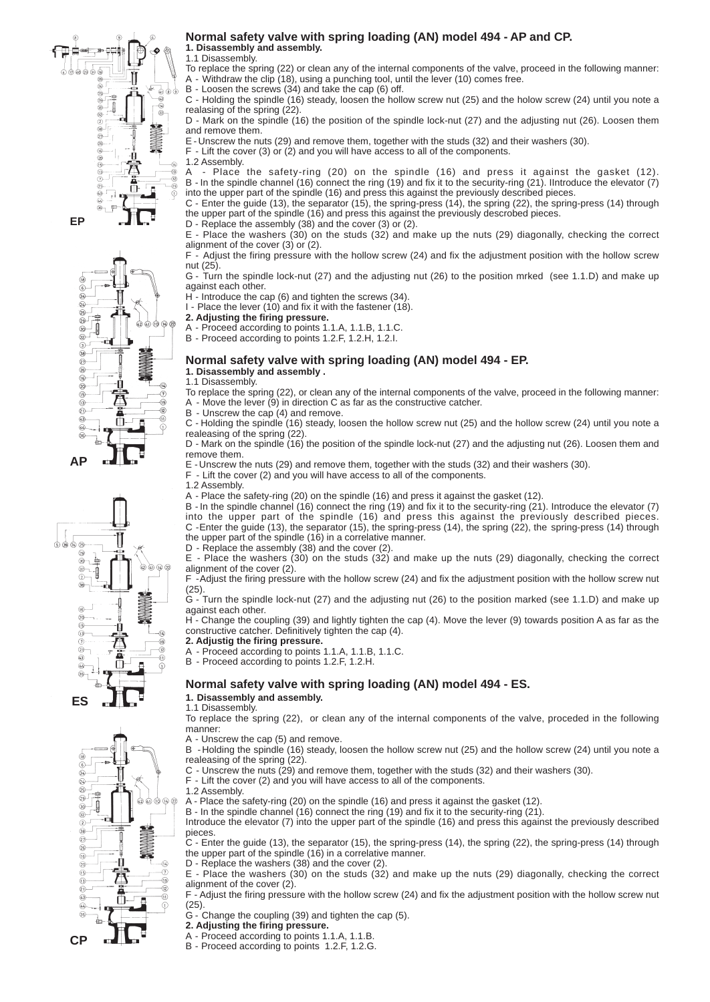



#### T  $Q_0$   $Q_5$ 6 ஓ்  $\begin{matrix} 29 \\ 30 \end{matrix}$  $\frac{1}{4}$  $\circledcirc \circledcirc \circledcirc$  $\frac{1}{20}$  $\overline{6}$ Š  $\circledS$  $\frac{1}{2}$ Œ  $\odot$ O © А  $\check{\overset{\circ}{\oplus}}$ Ω  $\widehat{a}$ š **ES**



#### **Normal safety valve with spring loading (AN) model 494 - AP and CP. 1. Disassembly and assembly.**

1.1 Disassembly.

To replace the spring (22) or clean any of the internal components of the valve, proceed in the following manner: A - Withdraw the clip (18), using a punching tool, until the lever (10) comes free. 

B - Loosen the screws (34) and take the cap (6) off.

C - Holding the spindle (16) steady, loosen the hollow screw nut (25) and the holow screw (24) until you note a realasing of the spring (22).

D - Mark on the spindle (16) the position of the spindle lock-nut (27) and the adjusting nut (26). Loosen them and remove them.

E - Unscrew the nuts (29) and remove them, together with the studs (32) and their washers (30). 

 $F -$  Lift the cover (3) or (2) and you will have access to all of the components.

1.2 Assembly.<br>A - Place

Place the safety-ring (20) on the spindle (16) and press it against the gasket (12). B - In the spindle channel (16) connect the ring (19) and fix it to the security-ring (21). IIntroduce the elevator (7) into the upper part of the spindle (16) and press this against the previously described pieces. 

C - Enter the guide (13), the separator (15), the spring-press (14), the spring (22), the spring-press (14) through the upper part of the spindle (16) and press this against the previously descrobed pieces. 

D - Replace the assembly (38) and the cover (3) or (2).

E - Place the washers (30) on the studs (32) and make up the nuts (29) diagonally, checking the correct alignment of the cover (3) or (2).

F - Adjust the firing pressure with the hollow screw (24) and fix the adjustment position with the hollow screw nut (25).

G - Turn the spindle lock-nut (27) and the adjusting nut (26) to the position mrked (see 1.1.D) and make up against each other.

H - Introduce the cap (6) and tighten the screws (34).

I - Place the lever  $(10)$  and fix it with the fastener  $(18)$ . **2. Adjusting the firing pressure.**

A - Proceed according to points 1.1.A, 1.1.B, 1.1.C.

B - Proceed according to points 1.2.F, 1.2.H, 1.2.I.

#### **Normal safety valve with spring loading (AN) model 494 - EP. 1. Disassembly and assembly .**

1.1 Disassembly.

To replace the spring (22), or clean any of the internal components of the valve, proceed in the following manner: - Move the lever  $(9)$  in direction C as far as the constructive catcher.

B - Unscrew the cap (4) and remove.

C - Holding the spindle (16) steady, loosen the hollow screw nut (25) and the hollow screw (24) until you note a realeasing of the spring (22).

D - Mark on the spindle (16) the position of the spindle lock-nut (27) and the adjusting nut (26). Loosen them and remove them.

E - Unscrew the nuts (29) and remove them, together with the studs (32) and their washers (30). 

F - Lift the cover (2) and you will have access to all of the components.

1.2 Assembly.

A - Place the safety-ring (20) on the spindle (16) and press it against the gasket (12). 

B - In the spindle channel (16) connect the ring (19) and fix it to the security-ring (21). Introduce the elevator (7) into the upper part of the spindle (16) and press this against the previously described pieces. C - Enter the guide (13), the separator (15), the spring-press (14), the spring (22), the spring-press (14) through the upper part of the spindle (16) in a correlative manner.

D - Replace the assembly (38) and the cover (2).

E - Place the washers (30) on the studs (32) and make up the nuts (29) diagonally, checking the correct alignment of the cover (2).

F - Adjust the firing pressure with the hollow screw (24) and fix the adjustment position with the hollow screw nut (25).

G - Turn the spindle lock-nut (27) and the adjusting nut (26) to the position marked (see 1.1.D) and make up against each other.

H - Change the coupling (39) and lightly tighten the cap (4). Move the lever (9) towards position A as far as the constructive catcher. Definitively tighten the cap (4).

**2. Adjustig the firing pressure.**

A - Proceed according to points 1.1.A, 1.1.B, 1.1.C.

B - Proceed according to points 1.2.F, 1.2.H.

## **Normal safety valve with spring loading (AN) model 494 - ES.**

**1. Disassembly and assembly.** 1.1 Disassembly.

To replace the spring (22), or clean any of the internal components of the valve, proceded in the following manner: 

A - Unscrew the cap (5) and remove.

B - Holding the spindle (16) steady, loosen the hollow screw nut (25) and the hollow screw (24) until you note a realeasing of the spring (22).

C - Unscrew the nuts (29) and remove them, together with the studs (32) and their washers (30). 

F - Lift the cover (2) and you will have access to all of the components.

1.2 Assembly.

A - Place the safety-ring (20) on the spindle (16) and press it against the gasket (12). 

B - In the spindle channel (16) connect the ring (19) and fix it to the security-ring (21). 

Introduce the elevator (7) into the upper part of the spindle (16) and press this against the previously described pieces.

C - Enter the guide (13), the separator (15), the spring-press (14), the spring (22), the spring-press (14) through the upper part of the spindle (16) in a correlative manner.

D - Replace the washers (38) and the cover (2).

E - Place the washers (30) on the studs (32) and make up the nuts (29) diagonally, checking the correct alignment of the cover (2).

F - Adjust the firing pressure with the hollow screw (24) and fix the adjustment position with the hollow screw nut (25).

G - Change the coupling (39) and tighten the cap (5).

**2. Adjusting the firing pressure.**

- A Proceed according to points 1.1.A, 1.1.B.
- B Proceed according to points 1.2.F, 1.2.G.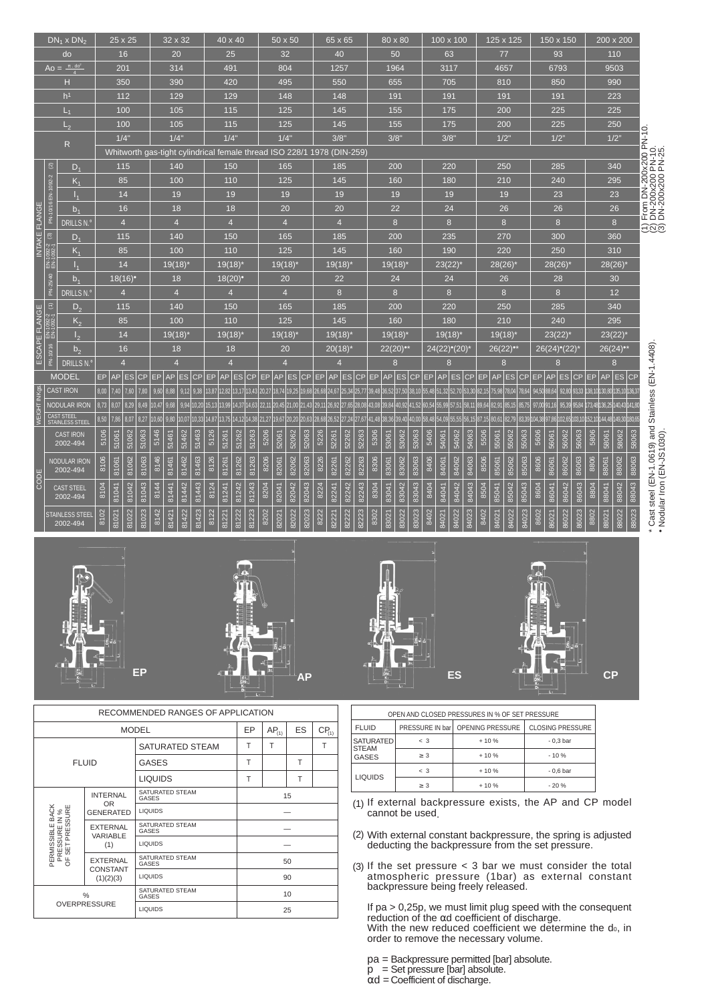|                |                                  | $DN_1 \times DN_2$                 |               | 25 x 25                                                                |       |       |       | 32 x 32               |         |             | 40 x 40               |       |       |             |                | 50 x 50  |       |      |       | 65 x 65                                   |       |      |       | 80 x 80                                                                                                                                   |       |      | 100 x 100    |                       |       |      | 125 x 125             |       |       |                                                |                       | 150 x 150   |       |                                                     |                       | 200 x 200                  |       |                                                                                   |
|----------------|----------------------------------|------------------------------------|---------------|------------------------------------------------------------------------|-------|-------|-------|-----------------------|---------|-------------|-----------------------|-------|-------|-------------|----------------|----------|-------|------|-------|-------------------------------------------|-------|------|-------|-------------------------------------------------------------------------------------------------------------------------------------------|-------|------|--------------|-----------------------|-------|------|-----------------------|-------|-------|------------------------------------------------|-----------------------|-------------|-------|-----------------------------------------------------|-----------------------|----------------------------|-------|-----------------------------------------------------------------------------------|
|                |                                  | do                                 |               | 16                                                                     |       |       |       | 20                    |         |             | 25                    |       |       |             | 32             |          |       |      |       | 40                                        |       |      |       | 50                                                                                                                                        |       |      |              | 63                    |       |      | 77                    |       |       |                                                |                       | 93          |       |                                                     |                       | 110                        |       |                                                                                   |
|                |                                  | Ao = $\frac{\pi \cdot d0^2}{4}$    |               | 201                                                                    |       |       |       | 314                   |         |             | 491                   |       |       |             | 804            |          |       |      |       | 1257                                      |       |      |       | 1964                                                                                                                                      |       |      |              | 3117                  |       |      | 4657                  |       |       |                                                | 6793                  |             |       |                                                     |                       | 9503                       |       |                                                                                   |
|                |                                  | H                                  |               | 350                                                                    |       |       |       | 390                   |         |             | 420                   |       |       |             | 495            |          |       |      |       | 550                                       |       |      |       | 655                                                                                                                                       |       |      |              | 705                   |       |      | 810                   |       |       |                                                | 850                   |             |       |                                                     |                       | 990                        |       |                                                                                   |
|                |                                  | h <sup>1</sup>                     |               | 112                                                                    |       |       |       | 129                   |         |             | 129                   |       |       |             | 148            |          |       |      |       | 148                                       |       |      |       | 191                                                                                                                                       |       |      |              | 191                   |       |      | 191                   |       |       |                                                | 191                   |             |       |                                                     |                       | 223                        |       |                                                                                   |
|                |                                  | $L_1$                              |               | 100                                                                    |       |       |       | 105                   |         |             | 115                   |       |       |             | 125            |          |       |      |       | 145                                       |       |      |       | 155                                                                                                                                       |       |      |              | 175                   |       |      | 200                   |       |       |                                                | 225                   |             |       |                                                     |                       | 225                        |       |                                                                                   |
|                |                                  | L <sub>2</sub>                     |               | 100                                                                    |       |       |       | 105                   |         |             | 115                   |       |       |             | 125            |          |       |      |       | 145                                       |       |      |       | 155                                                                                                                                       |       |      |              | 175                   |       |      | 200                   |       |       |                                                | 225                   |             |       |                                                     |                       | 250                        |       |                                                                                   |
|                |                                  | R                                  |               | 1/4"                                                                   |       |       |       | 1/4"                  |         |             | 1/4"                  |       |       |             | 1/4"           |          |       |      |       | 3/8"                                      |       |      |       | 3/8"                                                                                                                                      |       |      | 3/8"         |                       |       |      | $1/2$ "               |       |       |                                                | $1/2$ "               |             |       |                                                     |                       | 1/2"                       |       | From DN-200x200 PN-10.<br>DN-200x200 PN-10.<br>DN-200x200 PN-25.                  |
|                |                                  |                                    |               | Whitworth gas-tight cylindrical female thread ISO 228/1 1978 (DIN-259) |       |       |       |                       |         |             |                       |       |       |             |                |          |       |      |       |                                           |       |      |       |                                                                                                                                           |       |      |              |                       |       |      |                       |       |       |                                                |                       |             |       |                                                     |                       |                            |       |                                                                                   |
|                | $\widehat{\boldsymbol{\omega}}$  | $D_1$                              |               | 115                                                                    |       |       |       | 140                   |         |             | 150                   |       |       |             | 165            |          |       |      |       | 185                                       |       |      |       | 200                                                                                                                                       |       |      |              | 220                   |       |      | 250                   |       |       |                                                | 285                   |             |       |                                                     |                       | 340                        |       |                                                                                   |
|                | PN-10/16 EN-1092-2               | $K_{1}$                            |               | 85                                                                     |       |       |       | 100                   |         |             | 110                   |       |       |             | 125            |          |       |      |       | 145                                       |       |      |       | 160                                                                                                                                       |       |      |              | 180                   |       |      | 210                   |       |       |                                                | 240                   |             |       |                                                     |                       | 295                        |       |                                                                                   |
|                |                                  | $I_{1}$                            |               | 14                                                                     |       |       |       | 19                    |         |             | 19                    |       |       |             | 19             |          |       |      |       | 19                                        |       |      |       | 19                                                                                                                                        |       |      |              | 19                    |       |      | 19                    |       |       |                                                |                       | 23          |       |                                                     |                       | 23                         |       |                                                                                   |
|                |                                  | b <sub>1</sub>                     |               | 16                                                                     |       |       |       | 18                    |         |             | 18                    |       |       |             | 20             |          |       |      |       | 20                                        |       |      |       | 22                                                                                                                                        |       |      |              | 24                    |       |      | 26                    |       |       |                                                |                       | 26          |       |                                                     |                       | 26                         |       |                                                                                   |
|                |                                  | <b>DRILLS N.º</b>                  |               | $\overline{4}$                                                         |       |       |       | $\overline{4}$        |         |             | $\overline{4}$        |       |       |             | $\overline{4}$ |          |       |      |       | $\overline{4}$                            |       |      |       | 8                                                                                                                                         |       |      |              | 8                     |       |      | 8                     |       |       |                                                |                       | 8           |       |                                                     |                       | 8                          |       | <u> Ego</u>                                                                       |
| INTAKE FLANGE  | $\widehat{\circ}$                | $D_1$                              |               | 115                                                                    |       |       |       | 140                   |         |             | 150                   |       |       |             | 165            |          |       |      |       | 185                                       |       |      |       | 200                                                                                                                                       |       |      |              | 235                   |       |      | 270                   |       |       |                                                | 300                   |             |       |                                                     |                       | 360                        |       |                                                                                   |
|                | EN-1092-2<br>EN-1092-1           | $K_1$                              |               | 85                                                                     |       |       |       | 100                   |         |             | 110                   |       |       |             | 125            |          |       |      |       | 145                                       |       |      |       | 160                                                                                                                                       |       |      |              | 190                   |       |      | 220                   |       |       |                                                | 250                   |             |       |                                                     |                       | 310                        |       |                                                                                   |
|                |                                  | I <sub>4</sub>                     |               | 14                                                                     |       |       |       | $19(18)$ <sup>*</sup> |         |             | $19(18)^{*}$          |       |       |             | 19(18)         |          |       |      |       | $19(18)^{*}$                              |       |      |       | 19(18)                                                                                                                                    |       |      | $23(22)^{4}$ |                       |       |      | 28(26)                |       |       |                                                | 28(26)                |             |       |                                                     | 28(26)                |                            |       |                                                                                   |
|                | PN-25/40                         | b <sub>1</sub>                     |               | $18(16)$ <sup>*</sup>                                                  |       |       |       | 18                    |         |             | $18(20)$ <sup>•</sup> |       |       |             | 20             |          |       |      |       | 22                                        |       |      |       | 24                                                                                                                                        |       |      |              | 24                    |       |      | 26                    |       |       |                                                |                       | 28          |       |                                                     |                       | 30                         |       |                                                                                   |
|                |                                  | <b>DRILLS N.º</b>                  |               | $\overline{4}$                                                         |       |       |       | $\overline{4}$        |         |             | $\overline{4}$        |       |       |             | $\overline{4}$ |          |       |      |       | $\boldsymbol{8}$                          |       |      |       | 8                                                                                                                                         |       |      |              | 8                     |       |      | 8                     |       |       |                                                |                       | 8           |       |                                                     |                       | 12                         |       |                                                                                   |
|                |                                  | $D_2$                              |               | 115                                                                    |       |       |       | 140                   |         |             | 150                   |       |       |             | 165            |          |       |      |       | 185                                       |       |      |       | 200                                                                                                                                       |       |      |              | 220                   |       |      | 250                   |       |       |                                                |                       | 285         |       |                                                     |                       | 340                        |       |                                                                                   |
|                | $EN-1092-2$ (1)<br>EN-1092-1 (1) | $K_{2}$                            |               | 85                                                                     |       |       |       | 100                   |         |             | 110                   |       |       |             | 125            |          |       |      |       | 145                                       |       |      |       | 160                                                                                                                                       |       |      |              | 180                   |       |      | 210                   |       |       |                                                | 240                   |             |       |                                                     |                       | 295                        |       |                                                                                   |
| ESCAPE FLANGE  |                                  | I <sub>2</sub>                     |               | 14                                                                     |       |       |       | $19(18)^{*}$          |         |             | $19(18)^*$            |       |       |             | 19(18)         |          |       |      |       | $19(18)$ <sup>*</sup>                     |       |      |       | 19(18)                                                                                                                                    |       |      |              | $19(18)$ <sup>*</sup> |       |      | $19(18)$ <sup>*</sup> |       |       |                                                | $23(22)$ <sup>*</sup> |             |       |                                                     |                       | 23(22)                     |       |                                                                                   |
|                | PN-10/16                         | b <sub>2</sub>                     |               | 16                                                                     |       |       |       | 18                    |         |             | 18                    |       |       |             | 20             |          |       |      |       | $20(18)^{*}$                              |       |      |       | $22(20)$ <sup>*</sup>                                                                                                                     |       |      | 24(22)°(20)  |                       |       |      | $26(22)$ <sup>*</sup> |       |       |                                                |                       | 26(24)°(22) |       |                                                     | $26(24)$ <sup>*</sup> |                            |       |                                                                                   |
|                |                                  | DRILLS N.º                         |               | $\overline{4}$                                                         |       |       |       |                       |         |             | $\overline{4}$        |       |       |             | $\overline{4}$ |          |       |      |       |                                           |       |      |       | 8                                                                                                                                         |       |      |              | 8                     |       |      | 8                     |       |       |                                                |                       | 8           |       |                                                     |                       | 8                          |       |                                                                                   |
|                |                                  | <b>MODEL</b>                       | AP<br>EP.     | <b>ES</b>                                                              | CP    |       | EP AP |                       | $ES$ CP | EP AP ES CP |                       |       |       | EP          |                | AP ES CP |       |      |       | EP AP ES CP                               |       |      |       | EP AP ES CP EP AP ES CP EP AP ES                                                                                                          |       |      |              |                       |       |      |                       |       |       | $ {\rm CP} $ EP $ {\rm AP} {\rm ES} {\rm CP} $ |                       |             |       | EP                                                  | AP                    | $ \mathsf{ES} \mathsf{CF}$ |       |                                                                                   |
|                |                                  | <b>CAST IRON</b>                   | 8,00<br>7,40  | 7,60                                                                   | 7,80  | 9,60  | 8,88  | 9,12                  | 9,38    |             |                       |       |       |             |                |          |       |      |       |                                           |       |      |       | 13,87 12,82 13,17 13,43 20,27 18,74 19,25 19,68 26,68 24,67 25,34 25,77 39,48 36,52 37,50 38,10 55,48 51,32 52,70 53,30 82,15 75,98 78,04 |       |      |              |                       |       |      |                       |       | 78,64 |                                                |                       |             |       | 94,50 88,64 92,80 93,33 138,10 130,80 135,10 136,3  |                       |                            |       |                                                                                   |
| WEIGHT IN Kgs. |                                  | NODULAR IRON                       | 8,73<br>8,07  | 8,29                                                                   | 8,49  | 10,47 | 9,68  | 9,94                  | 10,20   |             |                       |       |       |             |                |          |       |      |       |                                           |       |      |       | 15,13,19,13,99 14,37 14,63 22,11 20,45 21,00 21,43 29,11 26,92 27,65 28,08 43,08 39,84 40,92 41,52 60,54 55,99 57,51 58,11 89,64 82,91    |       |      |              |                       |       |      |                       | 85,15 | 85,75 |                                                |                       |             |       | 97,00 91,16 95,39 95,84 173,48 136,25 140,43 141,80 |                       |                            |       |                                                                                   |
|                |                                  | CAST STEEL<br>STAINLESS STEEL      | 8,50<br>7,86  | 8,07                                                                   | 8,27  | 10,60 | 9,80  | 10,07                 | 10.33   | 14,87 13,75 |                       | 14,12 |       | 14,38 21,27 |                |          |       |      |       | 19,67 20,20 20,63 28,68 26,52 27,24 27,67 |       |      |       | 41,48 38,36 39,40 40,00 58,48 54,09 55,55 56,15 87,15 80,61                                                                               |       |      |              |                       |       |      |                       | 82,79 |       |                                                |                       |             |       | 83,39 104,38 97,86 102,65 103,10 152,10 144,48      |                       | 149,30 180,65              |       |                                                                                   |
|                |                                  | <b>CAST IRON</b>                   | 5106<br>51061 | 51062                                                                  | 51063 | 5146  | 51461 | 51462                 | 51463   | 5126        | 51261                 | 51262 | 51263 | 5206        | 52061          | 52062    | 52063 | 5226 | 52261 | 52262                                     | 52263 | 5306 | 53061 | 53062                                                                                                                                     | 53063 | 5406 | 54061        | 54062                 | 54063 | 5506 | 55061                 | 55062 | 55063 | 5606                                           | 56061                 | 56062       | 56063 | 5806                                                | 58061                 | 58062                      | 58063 |                                                                                   |
|                |                                  | 2002-494                           |               |                                                                        |       |       |       |                       |         |             |                       |       |       |             |                |          |       |      |       |                                           |       |      |       |                                                                                                                                           |       |      |              |                       |       |      |                       |       |       |                                                |                       |             |       |                                                     |                       |                            |       |                                                                                   |
|                |                                  | <b>NODULAR IRON</b><br>2002-494    | 8106<br>81061 | 81062                                                                  | 81063 | 8146  | 81461 | 81462                 | 81463   | 8126        | 81261                 | 81262 | 81263 | 8206        | 82061          | 82062    | 82063 | 8226 | 82261 | 82262                                     | 82263 | 8306 | 83061 | 83062                                                                                                                                     | 83063 | 8406 | 84061        | 84062                 | 84063 | 8506 | 85061                 | 85062 | 85063 | 8606                                           | 86061                 | 86062       | 86063 | 8806                                                | 88061                 | 88062                      | 88063 |                                                                                   |
| CODE           |                                  |                                    |               |                                                                        |       |       |       |                       |         |             |                       |       |       |             |                |          |       |      |       |                                           |       |      |       |                                                                                                                                           |       |      |              |                       |       |      |                       |       |       |                                                |                       |             |       |                                                     |                       |                            |       |                                                                                   |
|                |                                  | <b>CAST STEEL</b><br>2002-494      | 8104<br>81041 | 81042                                                                  | 81043 | 8144  | 81441 | 81442                 | 81443   | 8124        | 81241                 | 81242 | 81243 | 8204        | 82041          | 82042    | 82043 | 8224 | 82241 | 82242                                     | 82243 | 8304 | 83041 | 83042                                                                                                                                     | 83043 | 8404 | 84041        | 84042                 | 84043 | 8504 | 85041                 | 85042 | 85043 | 8604                                           | 86041                 | 86042       | 86043 | 8804                                                | 88041                 | 88042                      | 88043 |                                                                                   |
|                |                                  |                                    |               |                                                                        |       |       |       |                       |         |             |                       |       |       |             |                |          |       |      |       |                                           |       |      |       |                                                                                                                                           |       |      |              |                       |       |      |                       |       |       |                                                |                       |             |       |                                                     |                       |                            |       |                                                                                   |
|                |                                  | <b>STAINLESS STEEL</b><br>2002-494 | 8102<br>81021 | 81022                                                                  | 81023 | 8142  | 81421 | 81422                 | 81423   | 8122        | 81221                 | 81222 | 81223 | 8202        | 82021          | 82022    | 82023 | 8222 | 82221 | 82222                                     | 82223 | 8302 | 83021 | 83022                                                                                                                                     | 83023 | 8402 | 84021        | 84022                 | 84023 | 8402 | 84021                 | 84022 | 84023 | 8602                                           | 86021                 | 86022       | 86023 | 8802                                                | 88021                 | 88022                      | 88023 | * Cast steel (EN-1.0619) and Stainless (EN-1.4408)<br>• Nodular Iron (EN-JS1030). |
|                |                                  |                                    |               |                                                                        |       |       |       |                       |         |             |                       |       |       |             |                |          |       |      |       |                                           |       |      |       |                                                                                                                                           |       |      |              |                       |       |      |                       |       |       |                                                |                       |             |       |                                                     |                       |                            |       |                                                                                   |









|                                 |                               | RECOMMENDED RANGES OF APPLICATION |    |            |    |            |
|---------------------------------|-------------------------------|-----------------------------------|----|------------|----|------------|
|                                 |                               | <b>MODEL</b>                      | EР | $AP_{(1)}$ | ES | $CP_{(1)}$ |
|                                 |                               | SATURATED STEAM                   | T  | T          |    | T          |
|                                 | <b>FLUID</b>                  | <b>GASES</b>                      | T  |            | Т  |            |
|                                 |                               | <b>LIQUIDS</b>                    | T  |            | T  |            |
|                                 | <b>INTERNAL</b>               | SATURATED STEAM<br>GASES          |    |            | 15 |            |
| BACK                            | <b>OR</b><br><b>GENERATED</b> | LIQUIDS                           |    |            |    |            |
| PRESSURE IN %<br>F SET PRESSURE | <b>EXTERNAL</b><br>VARIABLE   | SATURATED STEAM<br>GASES          |    |            |    |            |
| PERMISSIBLE                     | (1)                           | <b>LIQUIDS</b>                    |    |            |    |            |
| $\overline{0}$                  | <b>EXTERNAL</b>               | SATURATED STEAM<br>GASES          |    |            | 50 |            |
|                                 | <b>CONSTANT</b><br>(1)(2)(3)  | <b>LIQUIDS</b>                    |    |            | 90 |            |
|                                 | %                             | SATURATED STEAM<br><b>GASES</b>   |    |            | 10 |            |
|                                 | <b>OVERPRESSURE</b>           | <b>LIQUIDS</b>                    |    |            | 25 |            |

|                                  |                 | OPEN AND CLOSED PRESSURES IN % OF SET PRESSURE |                         |
|----------------------------------|-----------------|------------------------------------------------|-------------------------|
| <b>FLUID</b>                     | PRESSURE IN bar | <b>OPENING PRESSURE</b>                        | <b>CLOSING PRESSURE</b> |
| <b>SATURATED</b><br><b>STEAM</b> | $\leq$ 3        | $+10%$                                         | $-0.3bar$               |
| <b>GASES</b>                     | > 3             | $+10%$                                         | $-10%$                  |
|                                  | $\leq$ 3        | $+10%$                                         | $-0.6bar$               |
| <b>LIQUIDS</b>                   | > 3             | $+10%$                                         | $-20%$                  |

If external backpressure exists, the AP and CP model (1) If external back<br>cannot be used.

With external constant backpressure, the spring is adjusted deducting the backpressure from the set pressure. (2)

If the set pressure < 3 bar we must consider the total atmospheric pressure (1bar) as external constant backpressure being freely released. (3)

If pa > 0,25p, we must limit plug speed with the consequent reduction of the αd coefficient of discharge. With the new reduced coefficient we determine the do, in order to remove the necessary volume. 

pa = Backpressure permitted [bar] absolute.

- $p =$ Set pressure [bar] absolute.
- αd = Coefficient of discharge.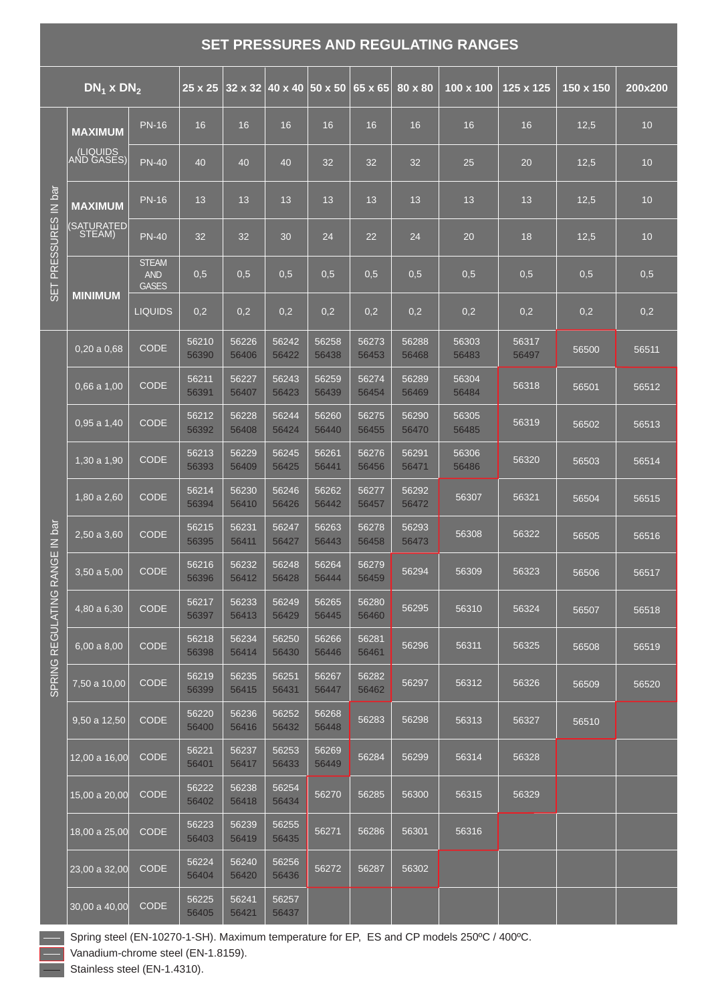## **SET PRESSURES AND REGULATING RANGES**

|                   | $DN_1$ x $DN_2$            |                                            | $25 \times 25$ |                | $32 \times 32$ 40 x 40 50 x 50 |                | 65 x 65        | 80 x 80        | $100 \times 100$ | 125 x 125      | 150 x 150 | 200x200 |
|-------------------|----------------------------|--------------------------------------------|----------------|----------------|--------------------------------|----------------|----------------|----------------|------------------|----------------|-----------|---------|
|                   | <b>MAXIMUM</b>             | <b>PN-16</b>                               | 16             | 16             | 16                             | 16             | 16             | 16             | 16               | 16             | 12,5      | 10      |
|                   | (LIQUIDS<br>AND GASES      | <b>PN-40</b>                               | 40             | 40             | 40                             | 32             | 32             | 32             | 25               | 20             | 12,5      | 10      |
|                   | <b>MAXIMUM</b>             | <b>PN-16</b>                               | 13             | 13             | 13                             | 13             | 13             | 13             | 13               | 13             | 12,5      | 10      |
| PRESSURES IN bar  | <b>SATURATED</b><br>STEAM) | <b>PN-40</b>                               | 32             | 32             | 30                             | 24             | 22             | 24             | 20               | 18             | 12,5      | 10      |
| t.                |                            | <b>STEAM</b><br><b>AND</b><br><b>GASES</b> | 0,5            | 0,5            | 0,5                            | 0,5            | 0,5            | 0,5            | 0,5              | 0,5            | 0,5       | 0,5     |
| $\sigma$          | <b>MINIMUM</b>             | <b>LIQUIDS</b>                             | 0,2            | 0,2            | 0,2                            | 0,2            | 0,2            | 0,2            | 0,2              | 0,2            | 0,2       | 0,2     |
|                   | 0,20a0,68                  | <b>CODE</b>                                | 56210<br>56390 | 56226<br>56406 | 56242<br>56422                 | 56258<br>56438 | 56273<br>56453 | 56288<br>56468 | 56303<br>56483   | 56317<br>56497 | 56500     | 56511   |
|                   | $0.66$ a $1.00$            | <b>CODE</b>                                | 56211<br>56391 | 56227<br>56407 | 56243<br>56423                 | 56259<br>56439 | 56274<br>56454 | 56289<br>56469 | 56304<br>56484   | 56318          | 56501     | 56512   |
|                   | $0.95$ a $1.40$            | <b>CODE</b>                                | 56212<br>56392 | 56228<br>56408 | 56244<br>56424                 | 56260<br>56440 | 56275<br>56455 | 56290<br>56470 | 56305<br>56485   | 56319          | 56502     | 56513   |
|                   | 1,30 a 1,90                | <b>CODE</b>                                | 56213<br>56393 | 56229<br>56409 | 56245<br>56425                 | 56261<br>56441 | 56276<br>56456 | 56291<br>56471 | 56306<br>56486   | 56320          | 56503     | 56514   |
|                   | $1,80$ a $2,60$            | <b>CODE</b>                                | 56214<br>56394 | 56230<br>56410 | 56246<br>56426                 | 56262<br>56442 | 56277<br>56457 | 56292<br>56472 | 56307            | 56321          | 56504     | 56515   |
|                   | 2,50 a 3,60                | <b>CODE</b>                                | 56215<br>56395 | 56231<br>56411 | 56247<br>56427                 | 56263<br>56443 | 56278<br>56458 | 56293<br>56473 | 56308            | 56322          | 56505     | 56516   |
| RANGE IN bar      | $3,50a$ 5,00               | <b>CODE</b>                                | 56216<br>56396 | 56232<br>56412 | 56248<br>56428                 | 56264<br>56444 | 56279<br>56459 | 56294          | 56309            | 56323          | 56506     | 56517   |
| <b>REGULATING</b> | 4,80 a 6,30                | <b>CODE</b>                                | 56217<br>56397 | 56233<br>56413 | 56249<br>56429                 | 56265<br>56445 | 56280<br>56460 | 56295          | 56310            | 56324          | 56507     | 56518   |
|                   | 6,00a8,00                  | <b>CODE</b>                                | 56218<br>56398 | 56234<br>56414 | 56250<br>56430                 | 56266<br>56446 | 56281<br>56461 | 56296          | 56311            | 56325          | 56508     | 56519   |
| SPRING            | 7,50 a 10,00               | <b>CODE</b>                                | 56219<br>56399 | 56235<br>56415 | 56251<br>56431                 | 56267<br>56447 | 56282<br>56462 | 56297          | 56312            | 56326          | 56509     | 56520   |
|                   | 9,50 a 12,50               | <b>CODE</b>                                | 56220<br>56400 | 56236<br>56416 | 56252<br>56432                 | 56268<br>56448 | 56283          | 56298          | 56313            | 56327          | 56510     |         |
|                   | 12,00 a 16,00              | <b>CODE</b>                                | 56221<br>56401 | 56237<br>56417 | 56253<br>56433                 | 56269<br>56449 | 56284          | 56299          | 56314            | 56328          |           |         |
|                   | 15,00 a 20,00              | <b>CODE</b>                                | 56222<br>56402 | 56238<br>56418 | 56254<br>56434                 | 56270          | 56285          | 56300          | 56315            | 56329          |           |         |
|                   | 18,00 a 25,00              | <b>CODE</b>                                | 56223<br>56403 | 56239<br>56419 | 56255<br>56435                 | 56271          | 56286          | 56301          | 56316            |                |           |         |
|                   | 23,00 a 32,00              | <b>CODE</b>                                | 56224<br>56404 | 56240<br>56420 | 56256<br>56436                 | 56272          | 56287          | 56302          |                  |                |           |         |
|                   | 30,00 a 40,00              | <b>CODE</b>                                | 56225<br>56405 | 56241<br>56421 | 56257<br>56437                 |                |                |                |                  |                |           |         |

Spring steel (EN-10270-1-SH). Maximum temperature for EP, ES and CP models 250ºC / 400ºC.

Vanadium-chrome steel (EN-1.8159).

Stainless steel (EN-1.4310).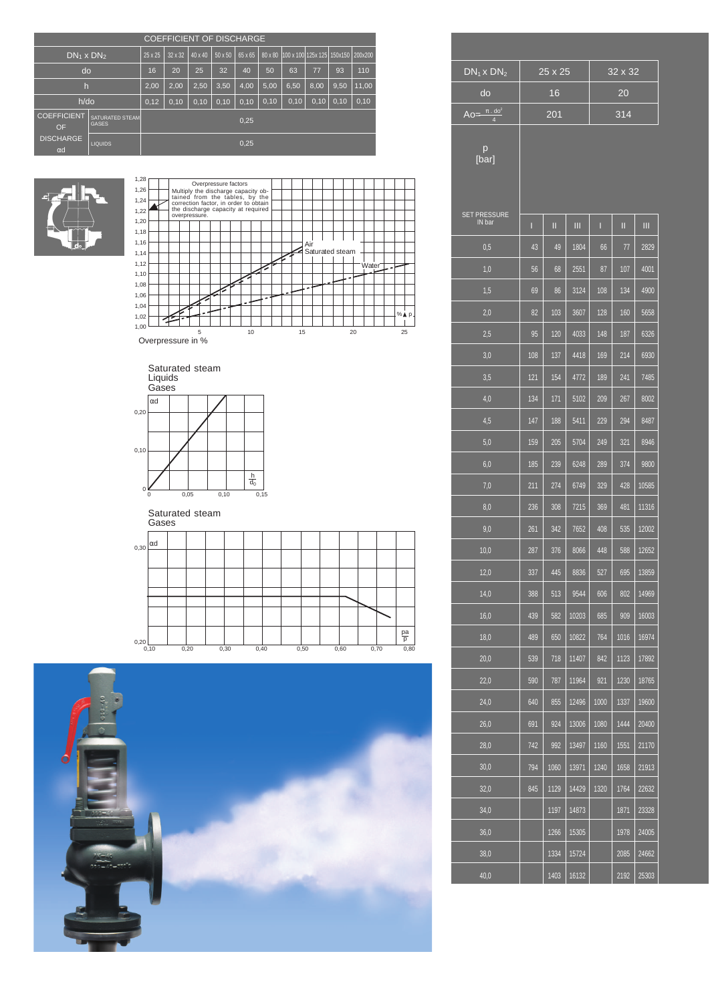|                                |                                        |         | <b>COEFFICIENT OF DISCHARGE</b> |                |         |         |         |                                    |       |       |       |
|--------------------------------|----------------------------------------|---------|---------------------------------|----------------|---------|---------|---------|------------------------------------|-------|-------|-------|
| $DN_1 \times DN_2$             |                                        | 25 x 25 | 32 x 32                         | $40 \times 40$ | 50 x 50 | 65 x 65 | 80 x 80 | 100 x 100 125x 125 150x150 200x200 |       |       |       |
| do                             |                                        | 16      | 20                              | 25             | 32      | 40      | 50      | 63                                 | 77    | 93    | 110   |
| $\mathsf{h}$                   |                                        | 2,00    | 2,00                            | 2,50           | 3,50    | 4,00    | 5,00    | 6,50                               | 8,00  | 9,50  | 11,00 |
| $h$ /do                        |                                        | 0,12    | 0,10                            | 0,10           | 0,10    | 0,10    | 0, 10   | 0, 10                              | 0, 10 | 0, 10 | 0,10  |
| <b>COEFFICIENT</b><br>OF       | <b>SATURATED STEAM</b><br><b>GASES</b> |         |                                 |                |         | 0,25    |         |                                    |       |       |       |
| <b>DISCHARGE</b><br>$\alpha$ d | <b>LIQUIDS</b>                         |         |                                 |                |         | 0,25    |         |                                    |       |       |       |



| 1,28 |  |               |  | Overpressure factors |  |                                                                             |  |  |     |                 |  |  |                    |  |              |  |
|------|--|---------------|--|----------------------|--|-----------------------------------------------------------------------------|--|--|-----|-----------------|--|--|--------------------|--|--------------|--|
| 1,26 |  |               |  |                      |  | Multiply the discharge capacity ob-<br>tained from the tables, by the       |  |  |     |                 |  |  |                    |  |              |  |
| 1,24 |  |               |  |                      |  |                                                                             |  |  |     |                 |  |  |                    |  |              |  |
| 1,22 |  | overpressure. |  |                      |  | correction factor, in order to obtain<br>the discharge capacity at required |  |  |     |                 |  |  |                    |  |              |  |
| 1,20 |  |               |  |                      |  |                                                                             |  |  |     |                 |  |  |                    |  |              |  |
| 1,18 |  |               |  |                      |  |                                                                             |  |  |     |                 |  |  |                    |  |              |  |
| 1,16 |  |               |  |                      |  |                                                                             |  |  | Air |                 |  |  |                    |  |              |  |
| 1,14 |  |               |  |                      |  |                                                                             |  |  |     | Saturated steam |  |  |                    |  |              |  |
| 1,12 |  |               |  |                      |  |                                                                             |  |  |     |                 |  |  | Water <sup>-</sup> |  |              |  |
| 1,10 |  |               |  |                      |  |                                                                             |  |  |     |                 |  |  |                    |  |              |  |
| 1,08 |  |               |  |                      |  |                                                                             |  |  |     |                 |  |  |                    |  |              |  |
| 1,06 |  |               |  |                      |  |                                                                             |  |  |     |                 |  |  |                    |  |              |  |
| 1,04 |  |               |  |                      |  |                                                                             |  |  |     |                 |  |  |                    |  |              |  |
| 1,02 |  |               |  |                      |  |                                                                             |  |  |     |                 |  |  |                    |  | % <b>A</b> P |  |
| 1,00 |  |               |  |                      |  |                                                                             |  |  |     |                 |  |  |                    |  |              |  |

Overpressure in %



Saturated steam Gases

|                      | <b>Ouoco</b> |      |      |      |  |      |      |      |                |
|----------------------|--------------|------|------|------|--|------|------|------|----------------|
| $_{0,30}$ $\alpha$ d |              |      |      |      |  |      |      |      |                |
|                      |              |      |      |      |  |      |      |      |                |
|                      |              |      |      |      |  |      |      |      |                |
|                      |              |      |      |      |  |      |      |      |                |
|                      |              |      |      |      |  |      |      |      |                |
|                      |              |      |      |      |  |      |      |      |                |
| 0,20                 |              |      |      |      |  |      |      |      | $\frac{pa}{p}$ |
|                      | 0,10         | 0,20 | 0,30 | 0,40 |  | 0,50 | 0,60 | 0,70 | 0,80           |



| $DN_1x DN_2$                      |     | 25 x 25 |       |      | 32 x 32 |       |
|-----------------------------------|-----|---------|-------|------|---------|-------|
| do                                |     | 16      |       |      | 20      |       |
| Ao= $\frac{\pi \cdot 10^{-2}}{4}$ |     | 201     |       |      | 314     |       |
| р<br>[bar]                        |     |         |       |      |         |       |
| <b>SET PRESSURE</b><br>IN bar     | ı   | П       | Ш     | Π    | Ш       | Ш     |
| 0.5                               | 43  | 49      | 1804  | 66   | 77      | 2829  |
| 1,0                               | 56  | 68      | 2551  | 87   | 107     | 4001  |
| 1,5                               | 69  | 86      | 3124  | 108  | 134     | 4900  |
| 2,0                               | 82  | 103     | 3607  | 128  | 160     | 5658  |
| 2,5                               | 95  | 120     | 4033  | 148  | 187     | 6326  |
| 3,0                               | 108 | 137     | 4418  | 169  | 214     | 6930  |
| 3,5                               | 121 | 154     | 4772  | 189  | 241     | 7485  |
| 4,0                               | 134 | 171     | 5102  | 209  | 267     | 8002  |
| 4,5                               | 147 | 188     | 5411  | 229  | 294     | 8487  |
| 5,0                               | 159 | 205     | 5704  | 249  | 321     | 8946  |
| 6,0                               | 185 | 239     | 6248  | 289  | 374     | 9800  |
| 7,0                               | 211 | 274     | 6749  | 329  | 428     | 10585 |
| 8,0                               | 236 | 308     | 7215  | 369  | 481     | 11316 |
| 9,0                               | 261 | 342     | 7652  | 408  | 535     | 12002 |
| 10,0                              | 287 | 376     | 8066  | 448  | 588     | 12652 |
| 12,0                              | 337 | 445     | 8836  | 527  | 695     | 13859 |
| 14,0                              | 388 | 513     | 9544  | 606  | 802     | 14969 |
| 16,0                              | 439 | 582     | 10203 | 685  | 909     | 16003 |
| 18,0                              | 489 | 650     | 10822 | 764  | 1016    | 16974 |
| 20,0                              | 539 | 718     | 11407 | 842  | 1123    | 17892 |
| 22,0                              | 590 | 787     | 11964 | 921  | 1230    | 18765 |
| 24,0                              | 640 | 855     | 12496 | 1000 | 1337    | 19600 |
| 26,0                              | 691 | 924     | 13006 | 1080 | 1444    | 20400 |
| 28,0                              | 742 | 992     | 13497 | 1160 | 1551    | 21170 |
| 30,0                              | 794 | 1060    | 13971 | 1240 | 1658    | 21913 |
| 32,0                              | 845 | 1129    | 14429 | 1320 | 1764    | 22632 |
| 34,0                              |     | 1197    | 14873 |      | 1871    | 23328 |
| 36,0                              |     | 1266    | 15305 |      | 1978    | 24005 |
| 38,0                              |     | 1334    | 15724 |      | 2085    | 24662 |
| 40,0                              |     | 1403    | 16132 |      | 2192    | 25303 |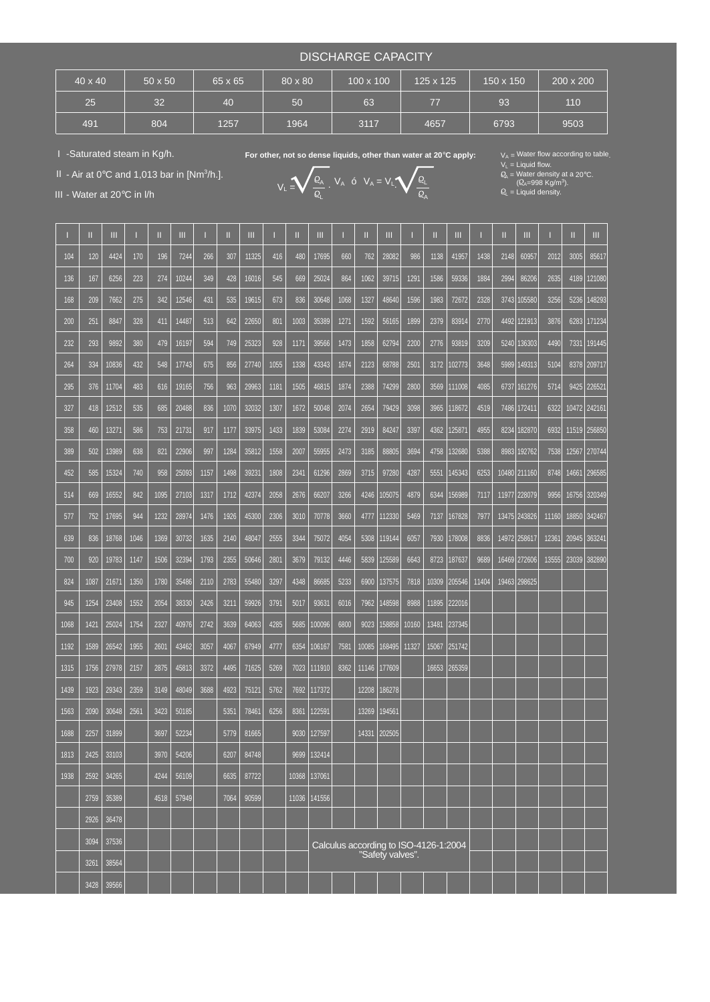## DISCHARGE CAPACITY

| $40 \times 40$ | $50 \times 50$ | 65 x 65 | 80 x 80 | 100 x 100 | 125 x 125 | 150 x 150 | 200 x 200 |
|----------------|----------------|---------|---------|-----------|-----------|-----------|-----------|
| 25             | 32             | 40      | 50      | 63        | 77        | 93        | 110       |
| 491            | 804            | 1257    | 1964    | 3117      | 4657      | 6793      | 9503      |

I -Saturated steam in Kg/h.

II - Air at  $0^{\circ}$ C and 1,013 bar in [Nm<sup>3</sup>/h.].

For other, not so dense liquids, other than water at 20°C apply:

 $V_A$  ó  $V_A = V_L$ 

L

 $V_L$  = Liquid flow.<br> $Q_A$  = Water density at a 20°C.

 $\mathcal{Q}_{\mathsf{L}}$  = Liquid density. (Q<sub>A</sub>=998 Kg/m<sup>3</sup>  $V_L = \bigvee_{i=1}^{k} \frac{k_A}{2}$ .  $V_A$  o  $V_A = V_L$ .  $\bigvee_{i=1}^{k} \frac{k_L}{2}$   $\bigvee_{i=1}^{k} \frac{k_L}{2}$   $\bigvee_{i=1}^{k} \frac{k_B}{2}$   $\bigvee_{i=1}^{k} \frac{k_B}{2}$   $\bigvee_{i=1}^{k} \frac{k_B}{2}$   $\bigvee_{i=1}^{k} \frac{k_B}{2}$   $\bigvee_{i=1}^{k} \frac{k_B}{2}$   $\bigvee_{i=1}^{k} \frac{k_B}{2}$   $\big$ 

| III - Water at 20°C in I/h |              |                |      |              |                |      |              |                |      |                | $Q^{\dagger}$    |      |       |                                                           | $Q_{\mathsf{A}}$ |       |        |       |       | $E_L = L$ iquid density. |       |       |              |
|----------------------------|--------------|----------------|------|--------------|----------------|------|--------------|----------------|------|----------------|------------------|------|-------|-----------------------------------------------------------|------------------|-------|--------|-------|-------|--------------------------|-------|-------|--------------|
|                            | Ш            | Ш              |      | Ш            | Ш              |      | Ш            | Ш              |      | Ш              | Ш                |      | Ш     | Ш                                                         |                  | Ш     | Ш      |       | Ш     | Ш                        |       | Ш     | Ш            |
| 104                        | 120          | 4424           | 170  | 196          | 7244           | 266  | 307          | 11325          | 416  | 480            | 17695            | 660  | 762   | 28082                                                     | 986              | 1138  | 41957  | 1438  | 2148  | 60957                    | 2012  | 3005  | 85617        |
| 136                        | 167          | 6256           | 223  | 274          | 10244          | 349  | 428          | 16016          | 545  | 669            | 25024            | 864  | 1062  | 39715                                                     | 1291             | 1586  | 59336  | 1884  | 2994  | 86206                    | 2635  | 4189  | 121080       |
| 168                        | 209          | 7662           | 275  | 342          | 12546          | 431  | 535          | 19615          | 673  | 836            | 30648            | 1068 | 1327  | 48640                                                     | 1596             | 1983  | 72672  | 2328  | 3743  | 105580                   | 3256  | 5236  | 148293       |
| 200                        | 251          | 8847           | 328  | 411          | 14487          | 513  | 642          | 22650          | 801  | 1003           | 35389            | 1271 | 1592  | 56165                                                     | 1899             | 2379  | 83914  | 2770  | 4492  | 121913                   | 3876  | 6283  | 171234       |
| 232                        | 293          | 9892           | 380  | 479          | 16197          | 594  | 749          | 25323          | 928  | 1171           | 39566            | 1473 | 1858  | 62794                                                     | 2200             | 2776  | 93819  | 3209  | 5240  | 136303                   | 4490  | 7331  | 191445       |
| 264                        | 334          | 10836          | 432  | 548          | 17743          | 675  | 856          | 27740          | 1055 | 1338           | 43343            | 1674 | 2123  | 68788                                                     | 2501             | 3172  | 102773 | 3648  | 5989  | 149313                   | 5104  | 8378  | 209717       |
| 295                        | 376          | 11704          | 483  | 616          | 19165          | 756  | 963          | 29963          | 1181 | 1505           | 46815            | 1874 | 2388  | 74299                                                     | 2800             | 3569  | 111008 | 4085  | 6737  | 161276                   | 5714  | 9425  | 226521       |
| 327                        | 418          | 12512          | 535  | 685          | 20488          | 836  | 1070         | 32032          | 1307 | 1672           | 50048            | 2074 | 2654  | 79429                                                     | 3098             | 3965  | 118672 | 4519  | 7486  | 172411                   | 6322  |       | 10472 242161 |
| 358                        | 460          | 13271          | 586  | 753          | 21731          | 917  | 1177         | 33975          | 1433 | 1839           | 53084            | 2274 | 2919  | 84247                                                     | 3397             | 4362  | 125871 | 4955  | 8234  | 182870                   | 6932  |       | 11519 256850 |
| 389                        | 502          | 13989          | 638  | 821          | 22906          | 997  | 1284         | 35812          | 1558 | 2007           | 55955            | 2473 | 3185  | 88805                                                     | 3694             | 4758  | 132680 | 5388  | 8983  | 192762                   | 7538  | 12567 | 270744       |
| 452                        | 585          | 15324          | 740  | 958          | 25093          | 1157 | 1498         | 39231          | 1808 | 2341           | 61296            | 2869 | 3715  | 97280                                                     | 4287             | 5551  | 145343 | 6253  |       | 10480 211160             | 8748  | 14661 | 296585       |
| 514                        | 669          | 16552          | 842  | 1095         | 27103          | 1317 | 1712         | 42374          | 2058 | 2676           | 66207            | 3266 | 4246  | 105075                                                    | 4879             | 6344  | 156989 | 7117  |       | 11977 228079             | 9956  | 16756 | 320349       |
| 577                        | 752          | 17695          | 944  | 1232         | 28974          | 1476 | 1926         | 45300          | 2306 | 3010           | 70778            | 3660 | 4777  | 112330                                                    | 5469             | 7137  | 167828 | 7977  |       | 13475 243826             | 11160 | 18850 | 342467       |
| 639                        | 836          | 18768          | 1046 | 1369         | 30732          | 1635 | 2140         | 48047          | 2555 | 3344           | 75072            | 4054 | 5308  | 119144                                                    | 6057             | 7930  | 178008 | 8836  | 14972 | 258617                   | 12361 | 20945 | 36324        |
| 700                        | 920          | 19783          | 1147 | 1506         | 32394          | 1793 | 2355         | 50646          | 2801 | 3679           | 79132            | 4446 | 5839  | 125589                                                    | 6643             | 8723  | 187637 | 9689  |       | 16469 272606             | 13555 | 23039 | 382890       |
| 824                        | 1087         | 21671          | 1350 | 1780         | 35486          | 2110 | 2783         | 55480          | 3297 | 4348           | 86685            | 5233 | 6900  | 137575                                                    | 7818             | 10309 | 205546 | 11404 | 19463 | 298625                   |       |       |              |
| 945                        | 1254         | 23408          | 1552 | 2054         | 38330          | 2426 | 3211         | 59926          | 3791 | 5017           | 93631            | 6016 | 7962  | 148598                                                    | 8988             | 11895 | 222016 |       |       |                          |       |       |              |
| 1068                       | 1421         | 25024          | 1754 | 2327         | 40976          | 2742 | 3639         | 64063          | 4285 | 5685           | 100096           | 6800 | 9023  | 158858                                                    | 10160            | 13481 | 237345 |       |       |                          |       |       |              |
| 1192                       | 1589         | 26542          | 1955 | 2601         | 43462          | 3057 | 4067         | 67949          | 4777 | 6354           | 106167           | 7581 | 10085 | 168495                                                    | 11327            | 15067 | 251742 |       |       |                          |       |       |              |
| 1315                       | 1756         | 27978          | 2157 | 2875         | 45813          | 3372 | 4495         | 71625          | 5269 | 7023           | 111910           | 8362 | 11146 | 177609                                                    |                  | 16653 | 265359 |       |       |                          |       |       |              |
| 1439                       | 1923         | 29343          | 2359 | 3149         | 48049          | 3688 | 4923         | 75121          | 5762 | 7692           | 117372           |      | 12208 | 186278                                                    |                  |       |        |       |       |                          |       |       |              |
| 1563                       | 2090         | 30648          | 2561 | 3423         | 50185          |      | 5351         | 78461          | 6256 | 8361           | 122591           |      | 13269 | 194561                                                    |                  |       |        |       |       |                          |       |       |              |
| 1688                       | 2257         | 31899          |      | 3697         | 52234          |      | 5779         | 81665          |      | 9030           | 127597           |      |       | 14331 202505                                              |                  |       |        |       |       |                          |       |       |              |
| 1813                       | 2425         | 33103          |      | 3970         | 54206          |      | 6207         | 84748          |      | 9699           | 132414           |      |       |                                                           |                  |       |        |       |       |                          |       |       |              |
| 1938                       | 2592<br>2759 | 34265<br>35389 |      | 4244<br>4518 | 56109<br>57949 |      | 6635<br>7064 | 87722<br>90599 |      | 10368<br>11036 | 137061<br>141556 |      |       |                                                           |                  |       |        |       |       |                          |       |       |              |
|                            | 2926         | 36478          |      |              |                |      |              |                |      |                |                  |      |       |                                                           |                  |       |        |       |       |                          |       |       |              |
|                            | 3094         | 37536          |      |              |                |      |              |                |      |                |                  |      |       |                                                           |                  |       |        |       |       |                          |       |       |              |
|                            | 3261         | 38564          |      |              |                |      |              |                |      |                |                  |      |       | Calculus according to ISO-4126-1:2004<br>"Safety valves". |                  |       |        |       |       |                          |       |       |              |
|                            | 3428         | 39566          |      |              |                |      |              |                |      |                |                  |      |       |                                                           |                  |       |        |       |       |                          |       |       |              |